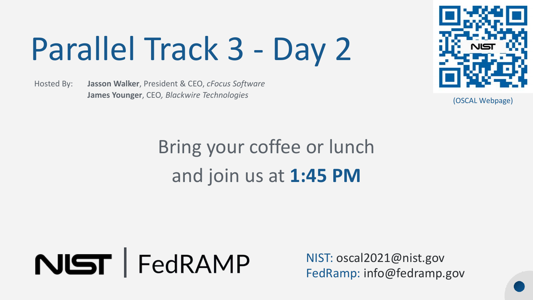# Parallel Track 3 - Day 2

Hosted By: **Jasson Walker**, President & CEO, *cFocus Software*  **James Younger**, CEO*, Blackwire Technologies* 



(OSCAL Webpage)

## Bring your coffee or lunch and join us at **1:45 PM**



NIST: [oscal2021@nist.gov](mailto:oscal2021@nist.gov) FedRamp: [info@fedramp.gov](mailto:info@fedramp.gov)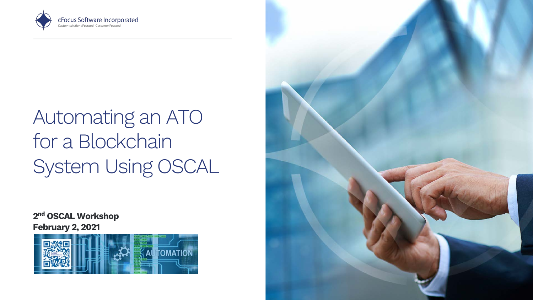

## for a Blockchain System Using OSCAL Automating an ATO

2<sup>nd</sup> OSCAL Workshop February 2, 2021



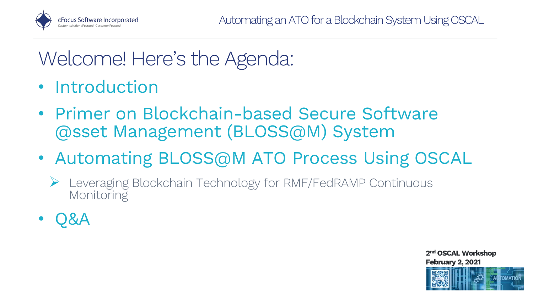

## Welcome! Here's the Agenda:

- Introduction
- • Primer on Blockchain-based Secure Software @sset Management (BLOSS@M) System
- • Automating BLOSS@M ATO Process Using OSCAL
	- • Leveraging Blockchain Technology for RMF/FedRAMP Continuous Monitoring
- Q&A

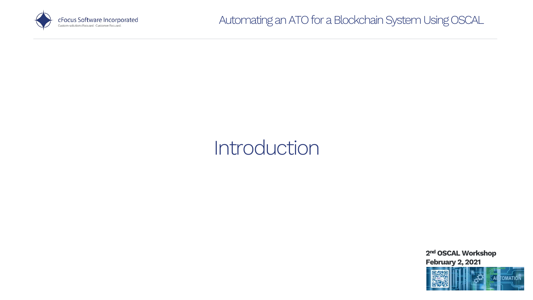

#### Introduction

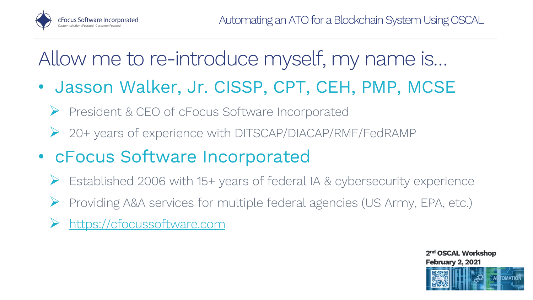

## Allow me to re-introduce myself, my name is…

- • Jasson Walker, Jr. CISSP, CPT, CEH, PMP, MCSE
	- President & CEO of cFocus Software Incorporated
	- 20+ years of experience with DITSCAP/DIACAP/RMF/FedRAMP
- • cFocus Software Incorporated
	- Established 2006 with 15+ years of federal IA & cybersecurity experience
	- Providing A&A services for multiple federal agencies (US Army, EPA, etc.)
	- [https://cfocussoftware.com](https://cfocussoftware.com/)

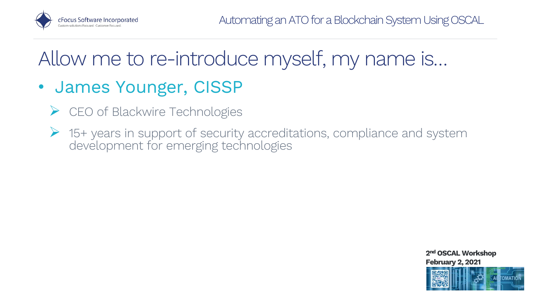

## Allow me to re-introduce myself, my name is…

#### • James Younger, CISSP

- CEO of Blackwire Technologies
- • 15+ years in support of security accreditations, compliance and system development for emerging technologies

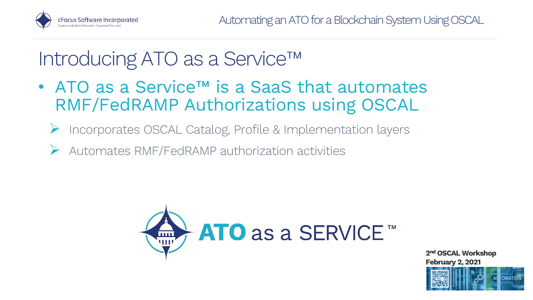

## Introducing ATO as a Service™

- • ATO as a Service™ is a SaaS that automates RMF/FedRAMP Authorizations using OSCAL
	- Incorporates OSCAL Catalog, Profile & Implementation layers
	- $\triangleright$  Automates RMF/FedRAMP authorization activities



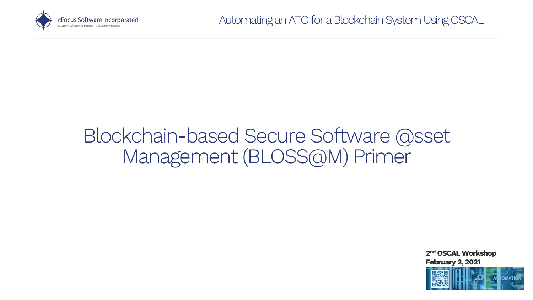

#### Blockchain-based Secure Software @sset Management (BLOSS@M) Primer

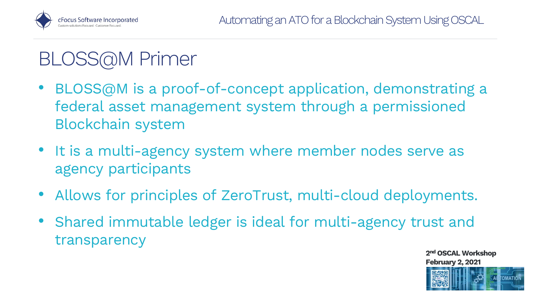

## BLOSS@M Primer

- • BLOSS@M is a proof-of-concept application, demonstrating a federal asset management system through a permissioned Blockchain system
- • It is a multi-agency system where member nodes serve as agency participants
- Allows for principles of ZeroTrust, multi-cloud deployments.
- Shared immutable ledger is ideal for multi-agency trust and transparency

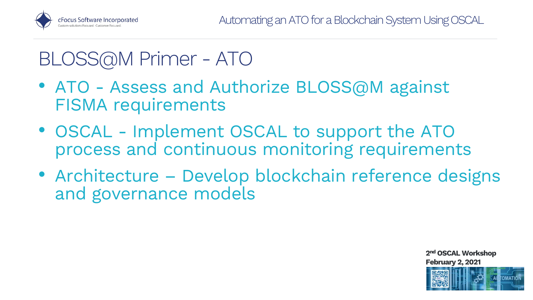

## BLOSS@M Primer - ATO

- • ATO Assess and Authorize BLOSS@M against FISMA requirements
- • OSCAL Implement OSCAL to support the ATO process and continuous monitoring requirements
- Architecture Develop blockchain reference designs and governance models

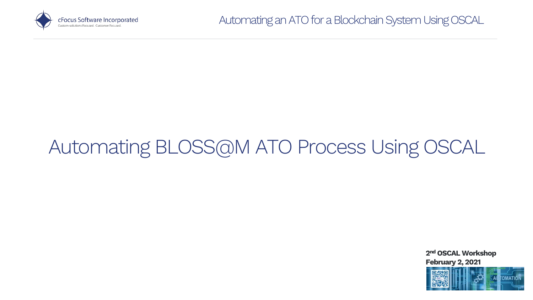

## Automating BLOSS@M ATO Process Using OSCAL

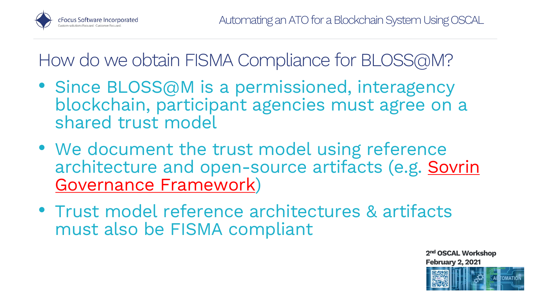

- • Since BLOSS@M is a permissioned, interagency blockchain, participant agencies must agree on a shared trust model
- • We document the trust model using reference architecture and open-source artifacts (e.g. **Sovrin** Governance Framework)
- • Trust model reference architectures & artifacts must also be FISMA compliant

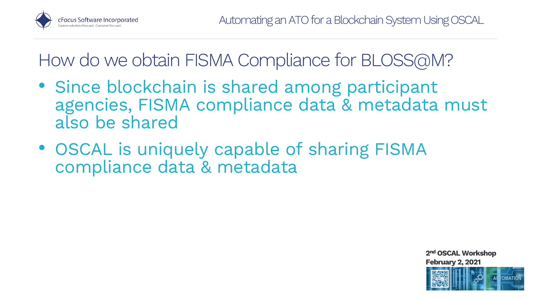

- • Since blockchain is shared among participant agencies, FISMA compliance data & metadata must also be shared
- • OSCAL is uniquely capable of sharing FISMA compliance data & metadata

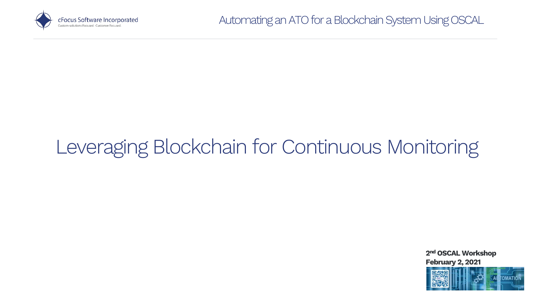

## Leveraging Blockchain for Continuous Monitoring

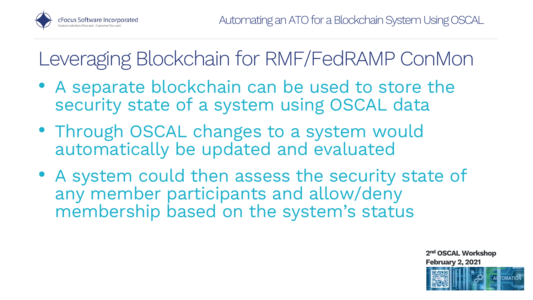

## Leveraging Blockchain for RMF/FedRAMP ConMon

- • A separate blockchain can be used to store the security state of a system using OSCAL data
- • Through OSCAL changes to a system would automatically be updated and evaluated
- • A system could then assess the security state of any member participants and allow/deny membership based on the system's status

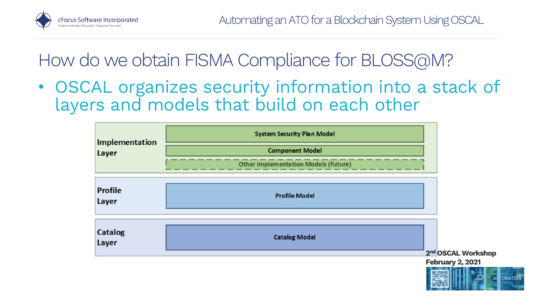

 • OSCAL organizes security information into a stack of layers and models that build on each other

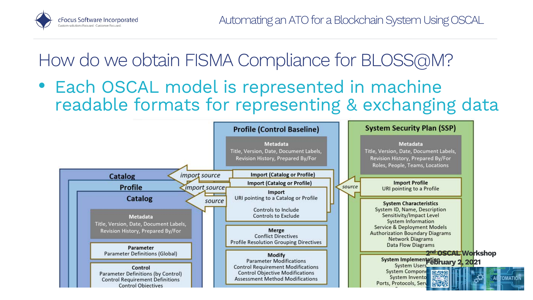

 readable formats for representing & exchanging data • Each OSCAL model is represented in machine

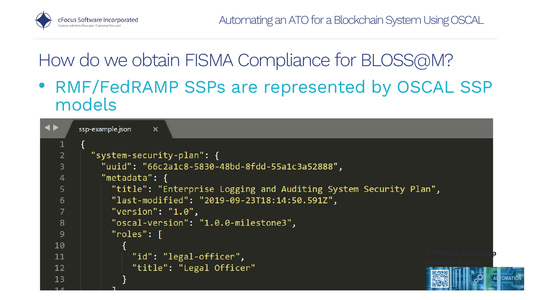

 • RMF/FedRAMP SSPs are represented by OSCAL SSP models

| $\blacktriangleleft$ | ssp-example.json<br>$\boldsymbol{\times}$                        |
|----------------------|------------------------------------------------------------------|
|                      |                                                                  |
| 2 <sup>1</sup>       | "system-security-plan": {                                        |
| $\overline{3}$       | "uuid": "66c2a1c8-5830-48bd-8fdd-55a1c3a52888",                  |
| $\overline{4}$       | "metadata": $\{$                                                 |
| 5                    | "title": "Enterprise Logging and Auditing System Security Plan", |
| 6                    | "last-modified": "2019-09-23T18:14:50.591Z",                     |
| 7                    | "version": " $1.0$ ",                                            |
| 8                    | "oscal-version": "1.0.0-milestone3",                             |
| $\overline{9}$       | $"roles":$ [                                                     |
| 10                   |                                                                  |
| 11                   | "id": "legal-officer",                                           |
| 12                   | "title": "Legal Officer"                                         |
| 13                   |                                                                  |
|                      |                                                                  |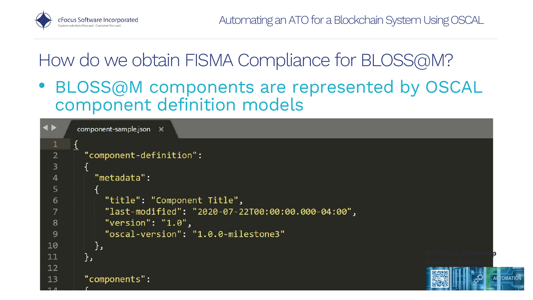

 • BLOSS@M components are represented by OSCAL component definition models

```
\blacktriangleleftcomponent-sample.json X
  \mathbf 1\overline{2}"component-definition":
  3
  \overline{4}"metadata":
  5
               "title": "Component Title",
  6
                "last-modified": "2020-07-22T00:00:00.000-04:00",
  8
                "version": "1.0",
                "oscal-version": "1.0.0-milestone3"
 9
10
             },
                                                                                                       2<sup>nd</sup> OSCAL Worksho<mark>p</mark>
11
          },
12"components":
13
```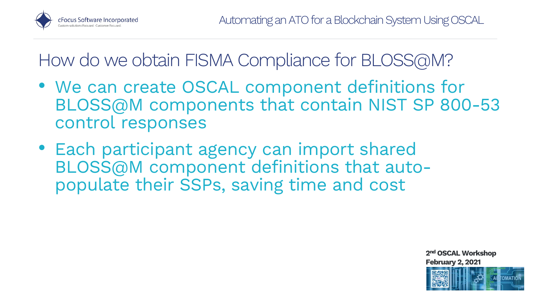

- • We can create OSCAL component definitions for BLOSS@M components that contain NIST SP 800-53 control responses
- populate their SSPs, saving time and cost • Each participant agency can import shared BLOSS@M component definitions that auto-

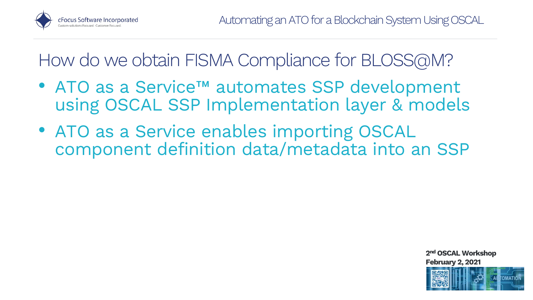

- • ATO as a Service™ automates SSP development using OSCAL SSP Implementation layer & models
- • ATO as a Service enables importing OSCAL component definition data/metadata into an SSP

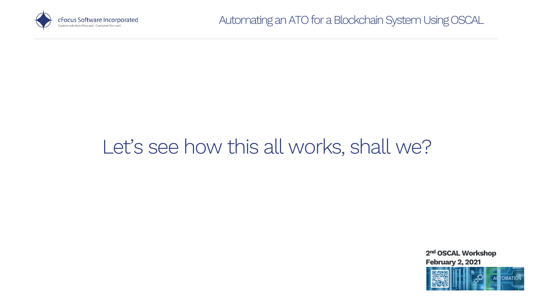

## Let's see how this all works, shall we?

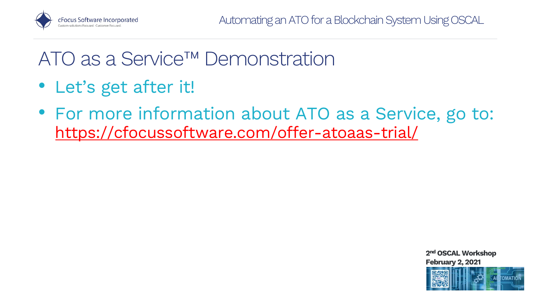

### ATO as a Service™ Demonstration

- Let's get after it!
- • For more information about ATO as a Service, go to: <https://cfocussoftware.com/offer-atoaas-trial/>



![](_page_22_Picture_6.jpeg)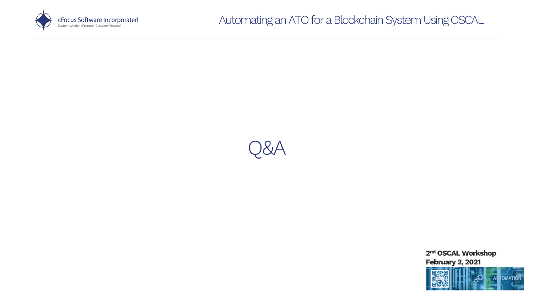![](_page_23_Picture_0.jpeg)

![](_page_23_Picture_2.jpeg)

![](_page_23_Picture_3.jpeg)

![](_page_23_Picture_4.jpeg)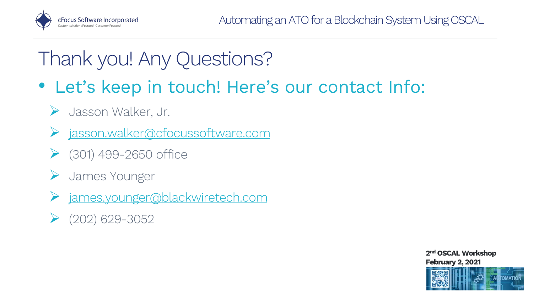![](_page_24_Picture_0.jpeg)

## Thank you! Any Questions?

- • Let's keep in touch! Here's our contact Info:
	- Jasson Walker, Jr.
	- [jasson.walker@cfocussoftware.com](mailto:jasson.walker@cfocussoftware.com)
	- $\triangleright$  (301) 499-2650 office
	- James Younger
	- [james.younger@blackwiretech.com](mailto:james.younger@blackwiretech.com)
	- $\blacktriangleright$  (202) 629-3052

![](_page_24_Picture_10.jpeg)

![](_page_24_Picture_11.jpeg)